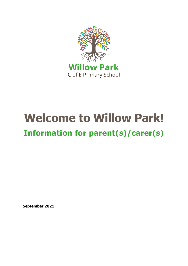

# **Welcome to Willow Park! Information for parent(s)/carer(s)**

**September 2021**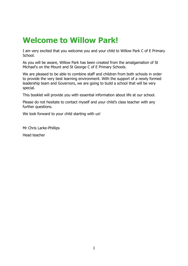### **Welcome to Willow Park!**

I am very excited that you welcome you and your child to Willow Park C of E Primary School.

As you will be aware, Willow Park has been created from the amalgamation of St Michael's on the Mount and St George C of E Primary Schools.

We are pleased to be able to combine staff and children from both schools in order to provide the very best learning environment. With the support of a newly formed leadership team and Governors, we are going to build a school that will be very special.

This booklet will provide you with essential information about life at our school.

Please do not hesitate to contact myself and your child's class teacher with any further questions.

We look forward to your child starting with us!

Mr Chris Larke-Phillips

Head teacher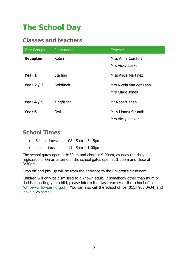# **The School Day**

#### **Classes and teachers**

| <b>Year Groups</b> | Class name | <b>Teacher</b>                              |
|--------------------|------------|---------------------------------------------|
| <b>Reception</b>   | Robin      | Miss Anna Comfort<br>Mrs Vicky Leaker       |
| Year 1             | Starling   | <b>Miss Alicia Martinez</b>                 |
| Year $2/3$         | Goldfinch  | Mrs Nicola van der Laan<br>Mrs Claire Jones |
| <b>Year 4 / 5</b>  | Kingfisher | Mr Robert Kean                              |
| Year <sub>6</sub>  | Owl        | Miss Linnea Strandh<br>Mrs Vicky Leaker     |

#### **School Times**

- $\bullet$  School times:  $08:45$ am  $-3:15$ pm
- $\bullet$  Lunch time:  $11:45$ am  $-1:00$ pm

The school gates open at 8:30am and close at 9:00am, as does the daily registration. On an afternoon the school gates open at 3:00pm and close at 3:30pm.

Drop off and pick up will be from the entrance to the Children's classroom.

Children will only be dismissed to a known adult. If somebody other than mum or dad is collecting your child, please inform the class teacher or the school office [\(office@willowpark.org.uk\)](mailto:office@willowpark.org.uk). You can also call the school office (0117 903 0434) and leave a voicemail.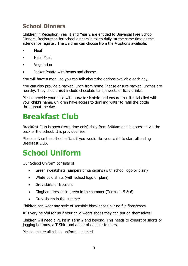#### **School Dinners**

Children in Reception, Year 1 and Year 2 are entitled to Universal Free School Dinners. Registration for school dinners is taken daily, at the same time as the attendance register. The children can choose from the 4 options available:

- Meat
- Halal Meat
- Vegetarian
- Jacket Potato with beans and cheese.

You will have a menu so you can talk about the options available each day.

You can also provide a packed lunch from home. Please ensure packed lunches are healthy. They should **not** include chocolate bars, sweets or fizzy drinks.

Please provide your child with a **water bottle** and ensure that it is labelled with your child's name. Children have access to drinking water to refill the bottle throughout the day.

### **Breakfast Club**

Breakfast Club is open (term time only) daily from 8:00am and is accessed via the back of the school. It is provided free.

Please advise the school office, if you would like your child to start attending Breakfast Club.

### **School Uniform**

Our School Uniform consists of:

- Green sweatshirts, jumpers or cardigans (with school logo or plain)
- White polo shirts (with school logo or plain)
- Grey skirts or trousers
- Gingham dresses in green in the summer (Terms  $1, 5, 8, 6$ )
- Grey shorts in the summer

Children can wear any style of sensible black shoes but no flip flops/crocs.

It is very helpful for us if your child wears shoes they can put on themselves!

Children will need a PE kit in Term 2 and beyond. This needs to consist of shorts or jogging bottoms, a T-Shirt and a pair of daps or trainers.

Please ensure all school uniform is named.